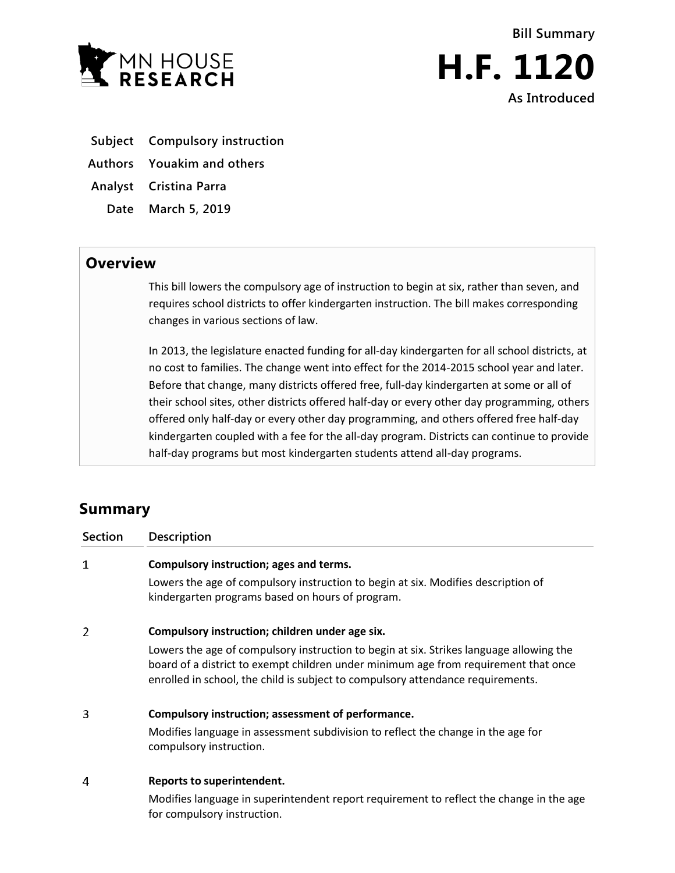



- **Subject Compulsory instruction**
- **Authors Youakim and others**

**Analyst Cristina Parra**

**Date March 5, 2019**

## **Overview**

This bill lowers the compulsory age of instruction to begin at six, rather than seven, and requires school districts to offer kindergarten instruction. The bill makes corresponding changes in various sections of law.

In 2013, the legislature enacted funding for all-day kindergarten for all school districts, at no cost to families. The change went into effect for the 2014-2015 school year and later. Before that change, many districts offered free, full-day kindergarten at some or all of their school sites, other districts offered half-day or every other day programming, others offered only half-day or every other day programming, and others offered free half-day kindergarten coupled with a fee for the all-day program. Districts can continue to provide half-day programs but most kindergarten students attend all-day programs.

## **Summary**

| <b>Section</b> | Description                                                                                                                                                                                                                                                       |
|----------------|-------------------------------------------------------------------------------------------------------------------------------------------------------------------------------------------------------------------------------------------------------------------|
| 1              | Compulsory instruction; ages and terms.                                                                                                                                                                                                                           |
|                | Lowers the age of compulsory instruction to begin at six. Modifies description of<br>kindergarten programs based on hours of program.                                                                                                                             |
| 2              | Compulsory instruction; children under age six.                                                                                                                                                                                                                   |
|                | Lowers the age of compulsory instruction to begin at six. Strikes language allowing the<br>board of a district to exempt children under minimum age from requirement that once<br>enrolled in school, the child is subject to compulsory attendance requirements. |
| 3              | Compulsory instruction; assessment of performance.                                                                                                                                                                                                                |
|                | Modifies language in assessment subdivision to reflect the change in the age for<br>compulsory instruction.                                                                                                                                                       |
| 4              | Reports to superintendent.                                                                                                                                                                                                                                        |
|                | Modifies language in superintendent report requirement to reflect the change in the age                                                                                                                                                                           |

for compulsory instruction.